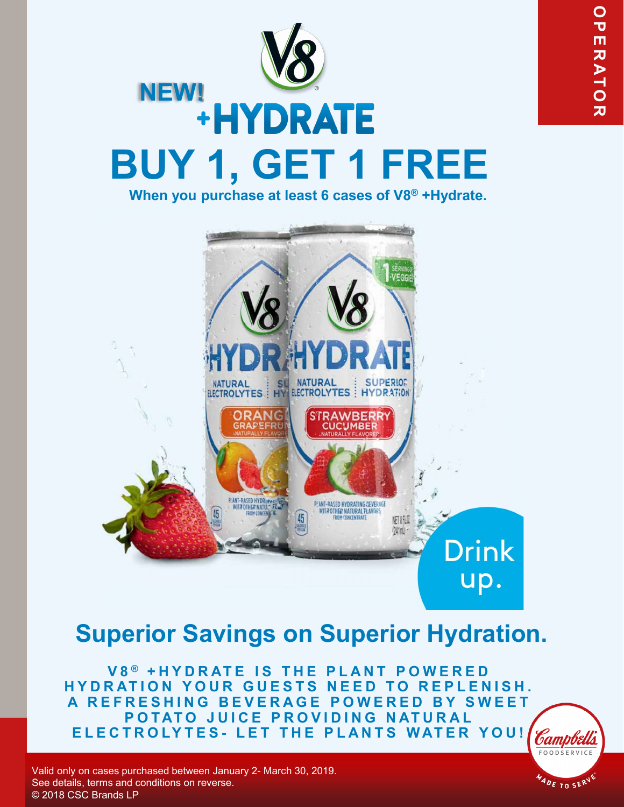

 $A_{DE}$  TO SERV

# NEW! +HYDRATE **BUY 1, GET 1 FREE When you purchase at least 6 cases of V8® +Hydrate.**



## **Superior Savings on Superior Hydration.**

**V 8 ® +HYDRATE IS THE PLANT POWERED HYDRATION YOUR GUESTS NEED TO REPLENISH. A REFRESHING BEVERAGE POWERED BY SWEET POTATO JUICE PROVIDING NATURAL ELECTROLYTES - LET THE PLANTS WATER YOU!**

Valid only on cases purchased between January 2- March 30, 2019. See details, terms and conditions on reverse. © 2018 CSC Brands LP